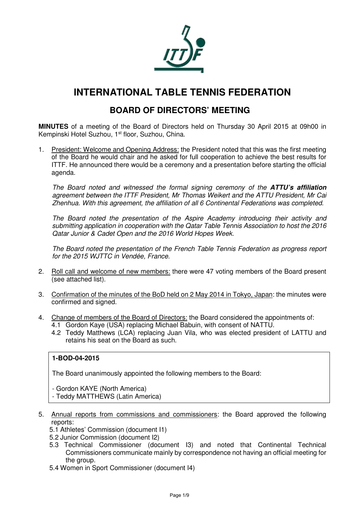

# **INTERNATIONAL TABLE TENNIS FEDERATION**

# **BOARD OF DIRECTORS' MEETING**

**MINUTES** of a meeting of the Board of Directors held on Thursday 30 April 2015 at 09h00 in Kempinski Hotel Suzhou, 1<sup>st</sup> floor, Suzhou, China.

1. President: Welcome and Opening Address: the President noted that this was the first meeting of the Board he would chair and he asked for full cooperation to achieve the best results for ITTF. He announced there would be a ceremony and a presentation before starting the official agenda.

The Board noted and witnessed the formal signing ceremony of the **ATTU's affiliation** agreement between the ITTF President, Mr Thomas Weikert and the ATTU President, Mr Cai Zhenhua. With this agreement, the affiliation of all 6 Continental Federations was completed.

The Board noted the presentation of the Aspire Academy introducing their activity and submitting application in cooperation with the Qatar Table Tennis Association to host the 2016 Qatar Junior & Cadet Open and the 2016 World Hopes Week.

The Board noted the presentation of the French Table Tennis Federation as progress report for the 2015 WJTTC in Vendée, France.

- 2. Roll call and welcome of new members: there were 47 voting members of the Board present (see attached list).
- 3. Confirmation of the minutes of the BoD held on 2 May 2014 in Tokyo, Japan: the minutes were confirmed and signed.
- 4. Change of members of the Board of Directors: the Board considered the appointments of:
	- 4.1 Gordon Kaye (USA) replacing Michael Babuin, with consent of NATTU.
	- 4.2 Teddy Matthews (LCA) replacing Juan Vila, who was elected president of LATTU and retains his seat on the Board as such.

#### **1-BOD-04-2015**

The Board unanimously appointed the following members to the Board:

- Gordon KAYE (North America)

- Teddy MATTHEWS (Latin America)
- 5. Annual reports from commissions and commissioners: the Board approved the following reports:
	- 5.1 Athletes' Commission (document I1)
	- 5.2 Junior Commission (document I2)
	- 5.3 Technical Commissioner (document I3) and noted that Continental Technical Commissioners communicate mainly by correspondence not having an official meeting for the group.
	- 5.4 Women in Sport Commissioner (document I4)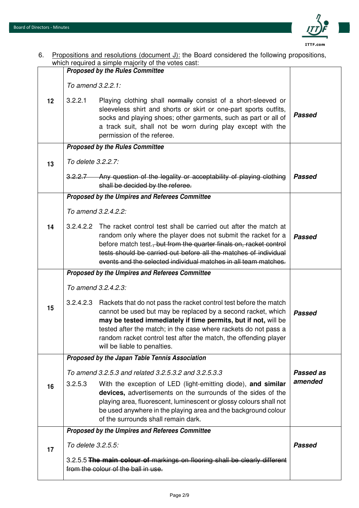

| 6. Propositions and resolutions (document J): the Board considered the following propositions, |
|------------------------------------------------------------------------------------------------|
| which required a simple majority of the votes cast:                                            |

| which required a simple majority of the votes cast: |                     |                                                                                                                                                                                                                                                                                                                                                                            |               |
|-----------------------------------------------------|---------------------|----------------------------------------------------------------------------------------------------------------------------------------------------------------------------------------------------------------------------------------------------------------------------------------------------------------------------------------------------------------------------|---------------|
|                                                     |                     | <b>Proposed by the Rules Committee</b>                                                                                                                                                                                                                                                                                                                                     |               |
|                                                     | To amend 3.2.2.1:   |                                                                                                                                                                                                                                                                                                                                                                            |               |
| 12                                                  | 3.2.2.1             | Playing clothing shall normally consist of a short-sleeved or<br>sleeveless shirt and shorts or skirt or one-part sports outfits,<br>socks and playing shoes; other garments, such as part or all of<br>a track suit, shall not be worn during play except with the<br>permission of the referee.                                                                          | <b>Passed</b> |
|                                                     |                     | <b>Proposed by the Rules Committee</b>                                                                                                                                                                                                                                                                                                                                     |               |
| 13                                                  | To delete 3.2.2.7:  |                                                                                                                                                                                                                                                                                                                                                                            |               |
|                                                     |                     | 3.2.2.7 Any question of the legality or acceptability of playing clothing<br>shall be decided by the referee.                                                                                                                                                                                                                                                              | <b>Passed</b> |
|                                                     |                     | <b>Proposed by the Umpires and Referees Committee</b>                                                                                                                                                                                                                                                                                                                      |               |
|                                                     |                     | To amend 3.2.4.2.2:                                                                                                                                                                                                                                                                                                                                                        |               |
| 14                                                  | 3.2.4.2.2           | The racket control test shall be carried out after the match at<br>random only where the player does not submit the racket for a<br>before match test., but from the quarter finals on, racket control<br>tests should be carried out before all the matches of individual<br>events and the selected individual matches in all team matches.                              | Passed        |
|                                                     |                     | Proposed by the Umpires and Referees Committee                                                                                                                                                                                                                                                                                                                             |               |
|                                                     | To amend 3.2.4.2.3: |                                                                                                                                                                                                                                                                                                                                                                            |               |
| 15                                                  | 3.2.4.2.3           | Rackets that do not pass the racket control test before the match<br>cannot be used but may be replaced by a second racket, which<br>may be tested immediately if time permits, but if not, will be<br>tested after the match; in the case where rackets do not pass a<br>random racket control test after the match, the offending player<br>will be liable to penalties. | <b>Passed</b> |
|                                                     |                     | Proposed by the Japan Table Tennis Association                                                                                                                                                                                                                                                                                                                             |               |
|                                                     |                     | To amend 3.2.5.3 and related 3.2.5.3.2 and 3.2.5.3.3                                                                                                                                                                                                                                                                                                                       | Passed as     |
| 16                                                  | 3.2.5.3             | With the exception of LED (light-emitting diode), and similar<br>devices, advertisements on the surrounds of the sides of the<br>playing area, fluorescent, luminescent or glossy colours shall not<br>be used anywhere in the playing area and the background colour<br>of the surrounds shall remain dark.                                                               | amended       |
|                                                     |                     | Proposed by the Umpires and Referees Committee                                                                                                                                                                                                                                                                                                                             |               |
| 17                                                  | To delete 3.2.5.5:  |                                                                                                                                                                                                                                                                                                                                                                            | <b>Passed</b> |
|                                                     |                     | 3.2.5.5 The main colour of markings on flooring shall be clearly different<br>from the colour of the ball in use.                                                                                                                                                                                                                                                          |               |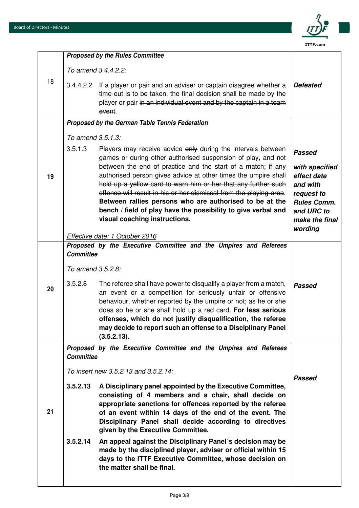

|                      | time-out is to be taken, the final decision shall be made by the<br>player or pair in an individual event and by the captain in a team<br>event.                                                                                                                                                                                                                                                                                                                                                                                                                    | <b>Defeated</b>                                                                                                                                                                                                                                                                                                                                                                                                                                                                                   |
|----------------------|---------------------------------------------------------------------------------------------------------------------------------------------------------------------------------------------------------------------------------------------------------------------------------------------------------------------------------------------------------------------------------------------------------------------------------------------------------------------------------------------------------------------------------------------------------------------|---------------------------------------------------------------------------------------------------------------------------------------------------------------------------------------------------------------------------------------------------------------------------------------------------------------------------------------------------------------------------------------------------------------------------------------------------------------------------------------------------|
|                      |                                                                                                                                                                                                                                                                                                                                                                                                                                                                                                                                                                     |                                                                                                                                                                                                                                                                                                                                                                                                                                                                                                   |
|                      |                                                                                                                                                                                                                                                                                                                                                                                                                                                                                                                                                                     |                                                                                                                                                                                                                                                                                                                                                                                                                                                                                                   |
| 3.5.1.3              | Players may receive advice only during the intervals between<br>games or during other authorised suspension of play, and not<br>between the end of practice and the start of a match; if any<br>authorised person gives advice at other times the umpire shall<br>hold up a yellow card to warn him or her that any further such<br>offence will result in his or her dismissal from the playing area.<br>Between rallies persons who are authorised to be at the<br>bench / field of play have the possibility to give verbal and<br>visual coaching instructions. | <b>Passed</b><br>with specified<br>effect date<br>and with<br>request to<br><b>Rules Comm.</b><br>and URC to<br>make the final<br>wording                                                                                                                                                                                                                                                                                                                                                         |
|                      |                                                                                                                                                                                                                                                                                                                                                                                                                                                                                                                                                                     |                                                                                                                                                                                                                                                                                                                                                                                                                                                                                                   |
|                      |                                                                                                                                                                                                                                                                                                                                                                                                                                                                                                                                                                     |                                                                                                                                                                                                                                                                                                                                                                                                                                                                                                   |
| 3.5.2.8              | The referee shall have power to disqualify a player from a match,<br>an event or a competition for seriously unfair or offensive<br>behaviour, whether reported by the umpire or not; as he or she<br>does so he or she shall hold up a red card. For less serious<br>offenses, which do not justify disqualification, the referee<br>may decide to report such an offense to a Disciplinary Panel<br>(3.5.2.13).                                                                                                                                                   | <b>Passed</b>                                                                                                                                                                                                                                                                                                                                                                                                                                                                                     |
|                      |                                                                                                                                                                                                                                                                                                                                                                                                                                                                                                                                                                     |                                                                                                                                                                                                                                                                                                                                                                                                                                                                                                   |
| 3.5.2.13<br>3.5.2.14 | A Disciplinary panel appointed by the Executive Committee,<br>consisting of 4 members and a chair, shall decide on<br>appropriate sanctions for offences reported by the referee<br>of an event within 14 days of the end of the event. The<br>Disciplinary Panel shall decide according to directives<br>given by the Executive Committee.<br>An appeal against the Disciplinary Panel's decision may be<br>made by the disciplined player, adviser or official within 15<br>days to the ITTF Executive Committee, whose decision on<br>the matter shall be final. | <b>Passed</b>                                                                                                                                                                                                                                                                                                                                                                                                                                                                                     |
|                      |                                                                                                                                                                                                                                                                                                                                                                                                                                                                                                                                                                     | <b>Proposed by the Rules Committee</b><br>To amend 3.4.4.2.2:<br>3.4.4.2.2 If a player or pair and an adviser or captain disagree whether a<br>Proposed by the German Table Tennis Federation<br>To amend 3.5.1.3:<br>Effective date: 1 October 2016<br>Proposed by the Executive Committee and the Umpires and Referees<br><b>Committee</b><br>To amend 3.5.2.8:<br>Proposed by the Executive Committee and the Umpires and Referees<br><b>Committee</b><br>To insert new 3.5.2.13 and 3.5.2.14: |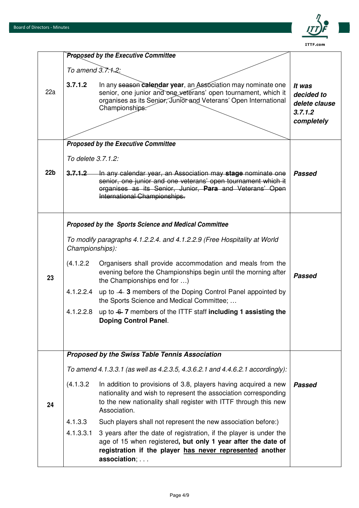

|                 |                                                                                             | <b>Proposed by the Executive Committee</b>                                                                                                                                                                               |                                                                |
|-----------------|---------------------------------------------------------------------------------------------|--------------------------------------------------------------------------------------------------------------------------------------------------------------------------------------------------------------------------|----------------------------------------------------------------|
|                 | To amend $3.7.1.2$ :                                                                        |                                                                                                                                                                                                                          |                                                                |
| 22a             | 3.7.1.2                                                                                     | In any season calendar year, an Association may nominate one<br>senior, one junior and one veterans' open tournament, which it<br>organises as its Senior, Junior and Veterans' Open International<br>Championships:     | It was<br>decided to<br>delete clause<br>3.7.1.2<br>completely |
|                 |                                                                                             | <b>Proposed by the Executive Committee</b>                                                                                                                                                                               |                                                                |
|                 | To delete 3.7.1.2:                                                                          |                                                                                                                                                                                                                          |                                                                |
| 22 <sub>b</sub> | 3,7,1,2                                                                                     | In any calendar year, an Association may stage nominate one<br>senior, one junior and one veterans' open tournament which it<br>organises as its Senior, Junior, Para and Veterans' Open<br>International Championships. | <b>Passed</b>                                                  |
|                 |                                                                                             | Proposed by the Sports Science and Medical Committee                                                                                                                                                                     |                                                                |
|                 | To modify paragraphs 4.1.2.2.4. and 4.1.2.2.9 (Free Hospitality at World<br>Championships): |                                                                                                                                                                                                                          |                                                                |
| 23              | (4.1.2.2)                                                                                   | Organisers shall provide accommodation and meals from the<br>evening before the Championships begin until the morning after<br>the Championships end for )                                                               | Passed                                                         |
|                 | 4.1.2.2.4                                                                                   | up to -4-3 members of the Doping Control Panel appointed by<br>the Sports Science and Medical Committee;                                                                                                                 |                                                                |
|                 | 4.1.2.2.8                                                                                   | up to $-6$ -7 members of the ITTF staff including 1 assisting the<br><b>Doping Control Panel.</b>                                                                                                                        |                                                                |
|                 |                                                                                             |                                                                                                                                                                                                                          |                                                                |
|                 |                                                                                             | Proposed by the Swiss Table Tennis Association                                                                                                                                                                           |                                                                |
|                 | To amend 4.1.3.3.1 (as well as 4.2.3.5, 4.3.6.2.1 and 4.4.6.2.1 accordingly):               |                                                                                                                                                                                                                          |                                                                |
| 24              | (4.1.3.2)                                                                                   | In addition to provisions of 3.8, players having acquired a new<br>nationality and wish to represent the association corresponding<br>to the new nationality shall register with ITTF through this new<br>Association.   | <b>Passed</b>                                                  |
|                 | 4.1.3.3                                                                                     | Such players shall not represent the new association before:)                                                                                                                                                            |                                                                |
|                 | 4.1.3.3.1                                                                                   | 3 years after the date of registration, if the player is under the<br>age of 15 when registered, but only 1 year after the date of<br>registration if the player has never represented another<br>association;           |                                                                |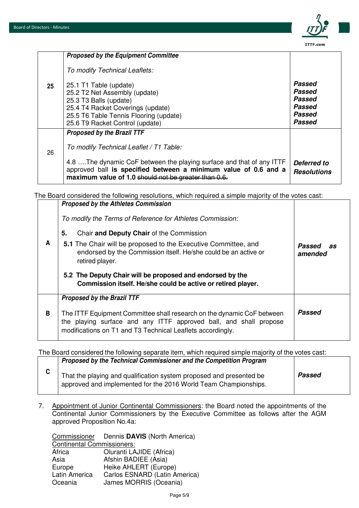

|    | <b>Proposed by the Equipment Committee</b>                                                                                                                                                                                                                                      |                                                                 |
|----|---------------------------------------------------------------------------------------------------------------------------------------------------------------------------------------------------------------------------------------------------------------------------------|-----------------------------------------------------------------|
|    | To modify Technical Leaflets:                                                                                                                                                                                                                                                   |                                                                 |
| 25 | 25.1 T1 Table (update)<br>25.2 T2 Net Assembly (update)<br>25.3 T3 Balls (update)<br>25.4 T4 Racket Coverings (update)<br>25.5 T6 Table Tennis Flooring (update)<br>25.6 T9 Racket Control (update)                                                                             | Passed<br>Passed<br>Passed<br>Passed<br>Passed<br><b>Passed</b> |
| 26 | <b>Proposed by the Brazil TTF</b><br>To modify Technical Leaflet / T1 Table:<br>4.8 The dynamic CoF between the playing surface and that of any ITTF<br>approved ball is specified between a minimum value of 0.6 and a<br>maximum value of 1.0 should not be greater than 0.6. | <b>Deferred to</b><br><b>Resolutions</b>                        |

The Board considered the following resolutions, which required a simple majority of the votes cast: **Proposed by the Athletes Commission** 

|   | To modify the Terms of Reference for Athletes Commission:<br>Chair and Deputy Chair of the Commission<br>5.                                                                                                                                    |                         |
|---|------------------------------------------------------------------------------------------------------------------------------------------------------------------------------------------------------------------------------------------------|-------------------------|
| A | 5.1 The Chair will be proposed to the Executive Committee, and<br>endorsed by the Commission itself. He/she could be an active or<br>retired player.                                                                                           | Passed<br>as<br>amended |
|   | 5.2 The Deputy Chair will be proposed and endorsed by the<br>Commission itself. He/she could be active or retired player.                                                                                                                      |                         |
| B | <b>Proposed by the Brazil TTF</b><br>The ITTF Equipment Committee shall research on the dynamic CoF between<br>the playing surface and any ITTF approved ball, and shall propose<br>modifications on T1 and T3 Technical Leaflets accordingly. | Passed                  |

The Board considered the following separate item, which required simple majority of the votes cast:

| Proposed by the Technical Commissioner and the Competition Program                                                                     |        |
|----------------------------------------------------------------------------------------------------------------------------------------|--------|
| That the playing and qualification system proposed and presented be<br>approved and implemented for the 2016 World Team Championships. | Passed |

7. Appointment of Junior Continental Commissioners: the Board noted the appointments of the Continental Junior Commissioners by the Executive Committee as follows after the AGM approved Proposition No.4a:

|                                   | Commissioner Dennis DAVIS (North America) |  |
|-----------------------------------|-------------------------------------------|--|
| <b>Continental Commissioners:</b> |                                           |  |
| Africa                            | Oluranti LAJIDE (Africa)                  |  |
| Asia                              | Afshin BADIEE (Asia)                      |  |
| Europe                            | Heike AHLERT (Europe)                     |  |
| Latin America                     | Carlos ESNARD (Latin America)             |  |
| Oceania                           | James MORRIS (Oceania)                    |  |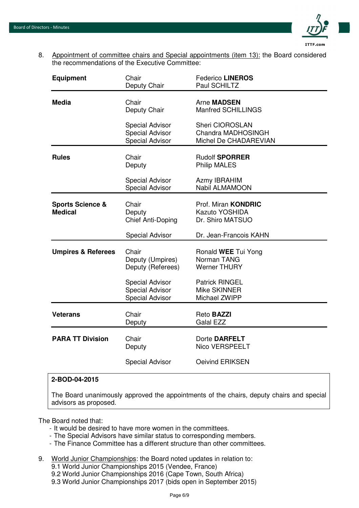

8. Appointment of committee chairs and Special appointments (item 13): the Board considered the recommendations of the Executive Committee:

| <b>Equipment</b>                              | Chair<br>Deputy Chair                                                      | <b>Federico LINEROS</b><br>Paul SCHILTZ                          |
|-----------------------------------------------|----------------------------------------------------------------------------|------------------------------------------------------------------|
| <b>Media</b>                                  | Chair<br>Deputy Chair                                                      | <b>Arne MADSEN</b><br>Manfred SCHILLINGS                         |
|                                               | <b>Special Advisor</b><br><b>Special Advisor</b><br><b>Special Advisor</b> | Sheri CIOROSLAN<br>Chandra MADHOSINGH<br>Michel De CHADAREVIAN   |
| <b>Rules</b>                                  | Chair<br>Deputy                                                            | <b>Rudolf SPORRER</b><br><b>Philip MALES</b>                     |
|                                               | <b>Special Advisor</b><br>Special Advisor                                  | Azmy IBRAHIM<br>Nabil ALMAMOON                                   |
| <b>Sports Science &amp;</b><br><b>Medical</b> | Chair<br>Deputy<br>Chief Anti-Doping                                       | Prof. Miran <b>KONDRIC</b><br>Kazuto YOSHIDA<br>Dr. Shiro MATSUO |
|                                               | <b>Special Advisor</b>                                                     | Dr. Jean-Francois KAHN                                           |
| <b>Umpires &amp; Referees</b>                 | Chair<br>Deputy (Umpires)<br>Deputy (Referees)                             | Ronald WEE Tui Yong<br>Norman TANG<br><b>Werner THURY</b>        |
|                                               | <b>Special Advisor</b><br><b>Special Advisor</b><br><b>Special Advisor</b> | <b>Patrick RINGEL</b><br>Mike SKINNER<br>Michael ZWIPP           |
| <b>Veterans</b>                               | Chair<br>Deputy                                                            | Reto <b>BAZZI</b><br><b>Galal EZZ</b>                            |
| <b>PARA TT Division</b>                       | Chair<br>Deputy                                                            | Dorte DARFELT<br>Nico VERSPEELT                                  |
|                                               | <b>Special Advisor</b>                                                     | Oeivind ERIKSEN                                                  |

#### **2-BOD-04-2015**

The Board unanimously approved the appointments of the chairs, deputy chairs and special advisors as proposed.

The Board noted that:

- It would be desired to have more women in the committees.
- The Special Advisors have similar status to corresponding members.
- The Finance Committee has a different structure than other committees.
- 9. World Junior Championships: the Board noted updates in relation to:
	- 9.1 World Junior Championships 2015 (Vendee, France)
	- 9.2 World Junior Championships 2016 (Cape Town, South Africa)
	- 9.3 World Junior Championships 2017 (bids open in September 2015)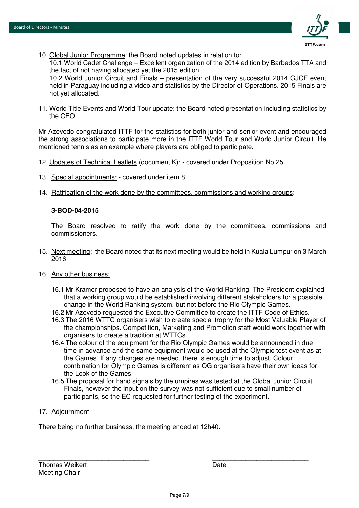

10. Global Junior Programme: the Board noted updates in relation to:

10.1 World Cadet Challenge – Excellent organization of the 2014 edition by Barbados TTA and the fact of not having allocated yet the 2015 edition.

10.2 World Junior Circuit and Finals – presentation of the very successful 2014 GJCF event held in Paraguay including a video and statistics by the Director of Operations. 2015 Finals are not yet allocated.

11. World Title Events and World Tour update: the Board noted presentation including statistics by the CEO

Mr Azevedo congratulated ITTF for the statistics for both junior and senior event and encouraged the strong associations to participate more in the ITTF World Tour and World Junior Circuit. He mentioned tennis as an example where players are obliged to participate.

- 12. Updates of Technical Leaflets (document K): covered under Proposition No.25
- 13. Special appointments: covered under item 8
- 14. Ratification of the work done by the committees, commissions and working groups:

#### **3-BOD-04-2015**

The Board resolved to ratify the work done by the committees, commissions and commissioners.

15. Next meeting: the Board noted that its next meeting would be held in Kuala Lumpur on 3 March 2016

#### 16. Any other business:

- 16.1 Mr Kramer proposed to have an analysis of the World Ranking. The President explained that a working group would be established involving different stakeholders for a possible change in the World Ranking system, but not before the Rio Olympic Games.
- 16.2 Mr Azevedo requested the Executive Committee to create the ITTF Code of Ethics.
- 16.3 The 2016 WTTC organisers wish to create special trophy for the Most Valuable Player of the championships. Competition, Marketing and Promotion staff would work together with organisers to create a tradition at WTTCs.
- 16.4 The colour of the equipment for the Rio Olympic Games would be announced in due time in advance and the same equipment would be used at the Olympic test event as at the Games. If any changes are needed, there is enough time to adjust. Colour combination for Olympic Games is different as OG organisers have their own ideas for the Look of the Games.
- 16.5 The proposal for hand signals by the umpires was tested at the Global Junior Circuit Finals, however the input on the survey was not sufficient due to small number of participants, so the EC requested for further testing of the experiment.

#### 17. Adjournment

There being no further business, the meeting ended at 12h40.

\_\_\_\_\_\_\_\_\_\_\_\_\_\_\_\_\_\_\_\_\_\_\_\_\_\_\_\_\_\_ \_\_\_\_\_\_\_\_\_\_\_\_\_\_\_\_\_\_\_\_\_\_\_\_\_\_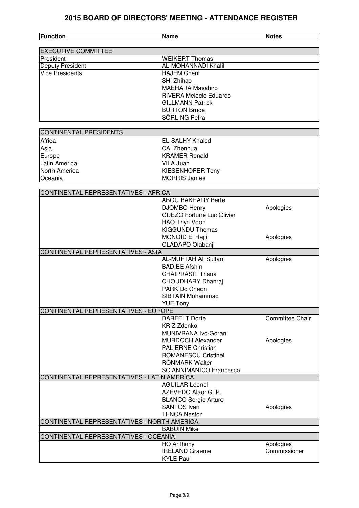## **2015 BOARD OF DIRECTORS' MEETING - ATTENDANCE REGISTER**

| <b>Function</b>                             | <b>Name</b>                      | <b>Notes</b>           |
|---------------------------------------------|----------------------------------|------------------------|
| <b>EXECUTIVE COMMITTEE</b>                  |                                  |                        |
| President                                   | <b>WEIKERT Thomas</b>            |                        |
| Deputy President                            | <b>AL-MOHANNADI Khalil</b>       |                        |
| <b>Vice Presidents</b>                      | <b>HAJEM Chérif</b>              |                        |
|                                             | SHI Zhihao                       |                        |
|                                             | <b>MAEHARA Masahiro</b>          |                        |
|                                             | <b>RIVERA Melecio Eduardo</b>    |                        |
|                                             | <b>GILLMANN Patrick</b>          |                        |
|                                             | <b>BURTON Bruce</b>              |                        |
|                                             | SÖRLING Petra                    |                        |
| <b>CONTINENTAL PRESIDENTS</b>               |                                  |                        |
| Africa                                      | <b>EL-SALHY Khaled</b>           |                        |
| Asia                                        | CAI Zhenhua                      |                        |
| Europe                                      | <b>KRAMER Ronald</b>             |                        |
| Latin America                               | VILA Juan                        |                        |
| <b>North America</b>                        | <b>KIESENHOFER Tony</b>          |                        |
| Oceania                                     | <b>MORRIS James</b>              |                        |
|                                             |                                  |                        |
| CONTINENTAL REPRESENTATIVES - AFRICA        |                                  |                        |
|                                             | <b>ABOU BAKHARY Berte</b>        |                        |
|                                             | DJOMBO Henry                     | Apologies              |
|                                             | <b>GUEZO Fortuné Luc Olivier</b> |                        |
|                                             | HAO Thyn Voon                    |                        |
|                                             | <b>KIGGUNDU Thomas</b>           |                        |
|                                             | MONQID El Hajji                  | Apologies              |
| CONTINENTAL REPRESENTATIVES - ASIA          | OLADAPO Olabanji                 |                        |
|                                             | AL-MUFTAH Ali Sultan             | Apologies              |
|                                             | <b>BADIEE Afshin</b>             |                        |
|                                             | <b>CHAIPRASIT Thana</b>          |                        |
|                                             | <b>CHOUDHARY Dhanraj</b>         |                        |
|                                             | PARK Do Cheon                    |                        |
|                                             | <b>SIBTAIN Mohammad</b>          |                        |
|                                             | <b>YUE Tony</b>                  |                        |
| CONTINENTAL REPRESENTATIVES - EUROPE        |                                  |                        |
|                                             | <b>DARFELT Dorte</b>             | <b>Committee Chair</b> |
|                                             | <b>KRIZ Zdenko</b>               |                        |
|                                             | MUNIVRANA Ivo-Goran              |                        |
|                                             | <b>MURDOCH Alexander</b>         | Apologies              |
|                                             | <b>PALIERNE Christian</b>        |                        |
|                                             | <b>ROMANESCU Cristinel</b>       |                        |
|                                             | RÖNMARK Walter                   |                        |
|                                             | <b>SCIANNIMANICO Francesco</b>   |                        |
| CONTINENTAL REPRESENTATIVES - LATIN AMERICA | <b>AGUILAR Leonel</b>            |                        |
|                                             | AZEVEDO Alaor G. P.              |                        |
|                                             | <b>BLANCO Sergio Arturo</b>      |                        |
|                                             | <b>SANTOS Ivan</b>               | Apologies              |
|                                             | <b>TENCA Néstor</b>              |                        |
| CONTINENTAL REPRESENTATIVES - NORTH AMERICA |                                  |                        |
|                                             | <b>BABUIN Mike</b>               |                        |
| CONTINENTAL REPRESENTATIVES - OCEANIA       |                                  |                        |
|                                             | <b>HO Anthony</b>                | Apologies              |
|                                             | <b>IRELAND Graeme</b>            | Commissioner           |
|                                             | <b>KYLE Paul</b>                 |                        |